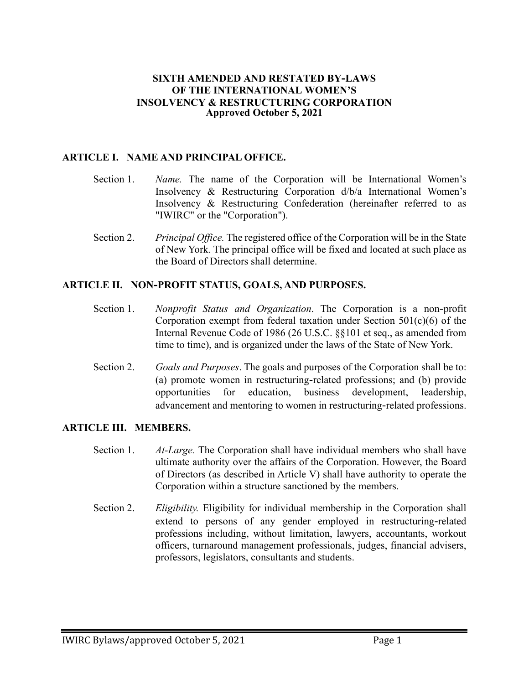#### **SIXTH AMENDED AND RESTATED BY-LAWS OF THE INTERNATIONAL WOMEN'S INSOLVENCY & RESTRUCTURING CORPORATION Approved October 5, 2021**

### **ARTICLE I. NAME AND PRINCIPAL OFFICE.**

- Section 1. *Name.* The name of the Corporation will be International Women's Insolvency & Restructuring Corporation d/b/a International Women's Insolvency & Restructuring Confederation (hereinafter referred to as "IWIRC" or the "Corporation").
- Section 2. *Principal Office.* The registered office of the Corporation will be in the State of New York. The principal office will be fixed and located at such place as the Board of Directors shall determine.

#### **ARTICLE II. NON-PROFIT STATUS, GOALS, AND PURPOSES.**

- Section 1. *Nonprofit Status and Organization*. The Corporation is a non-profit Corporation exempt from federal taxation under Section  $501(c)(6)$  of the Internal Revenue Code of 1986 (26 U.S.C. §§101 et seq., as amended from time to time), and is organized under the laws of the State of New York.
- Section 2. *Goals and Purposes*. The goals and purposes of the Corporation shall be to: (a) promote women in restructuring-related professions; and (b) provide opportunities for education, business development, leadership, advancement and mentoring to women in restructuring-related professions.

#### **ARTICLE III. MEMBERS.**

- Section 1. *At-Large.* The Corporation shall have individual members who shall have ultimate authority over the affairs of the Corporation. However, the Board of Directors (as described in Article V) shall have authority to operate the Corporation within a structure sanctioned by the members.
- Section 2. *Eligibility.* Eligibility for individual membership in the Corporation shall extend to persons of any gender employed in restructuring-related professions including, without limitation, lawyers, accountants, workout officers, turnaround management professionals, judges, financial advisers, professors, legislators, consultants and students.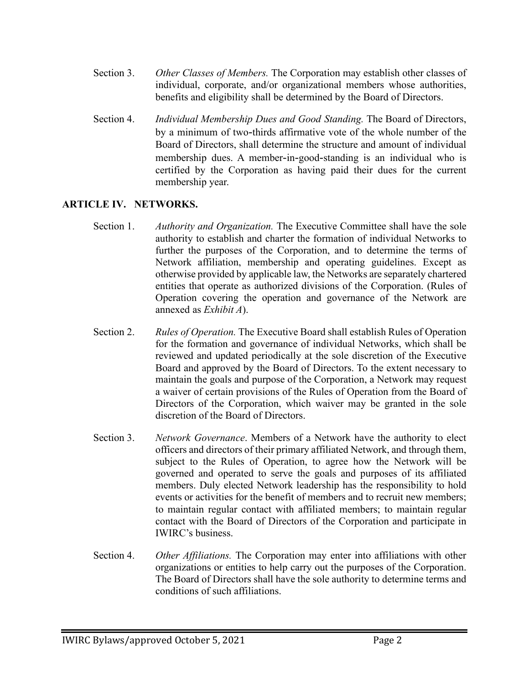- Section 3. *Other Classes of Members.* The Corporation may establish other classes of individual, corporate, and/or organizational members whose authorities, benefits and eligibility shall be determined by the Board of Directors.
- Section 4. *Individual Membership Dues and Good Standing.* The Board of Directors, by a minimum of two-thirds affirmative vote of the whole number of the Board of Directors, shall determine the structure and amount of individual membership dues. A member-in-good-standing is an individual who is certified by the Corporation as having paid their dues for the current membership year.

# **ARTICLE IV. NETWORKS.**

- Section 1. *Authority and Organization.* The Executive Committee shall have the sole authority to establish and charter the formation of individual Networks to further the purposes of the Corporation, and to determine the terms of Network affiliation, membership and operating guidelines. Except as otherwise provided by applicable law, the Networks are separately chartered entities that operate as authorized divisions of the Corporation. (Rules of Operation covering the operation and governance of the Network are annexed as *Exhibit A*).
- Section 2. *Rules of Operation.* The Executive Board shall establish Rules of Operation for the formation and governance of individual Networks, which shall be reviewed and updated periodically at the sole discretion of the Executive Board and approved by the Board of Directors. To the extent necessary to maintain the goals and purpose of the Corporation, a Network may request a waiver of certain provisions of the Rules of Operation from the Board of Directors of the Corporation, which waiver may be granted in the sole discretion of the Board of Directors.
- Section 3. *Network Governance*. Members of a Network have the authority to elect officers and directors of their primary affiliated Network, and through them, subject to the Rules of Operation, to agree how the Network will be governed and operated to serve the goals and purposes of its affiliated members. Duly elected Network leadership has the responsibility to hold events or activities for the benefit of members and to recruit new members; to maintain regular contact with affiliated members; to maintain regular contact with the Board of Directors of the Corporation and participate in IWIRC's business.
- Section 4. *Other Affiliations.* The Corporation may enter into affiliations with other organizations or entities to help carry out the purposes of the Corporation. The Board of Directors shall have the sole authority to determine terms and conditions of such affiliations.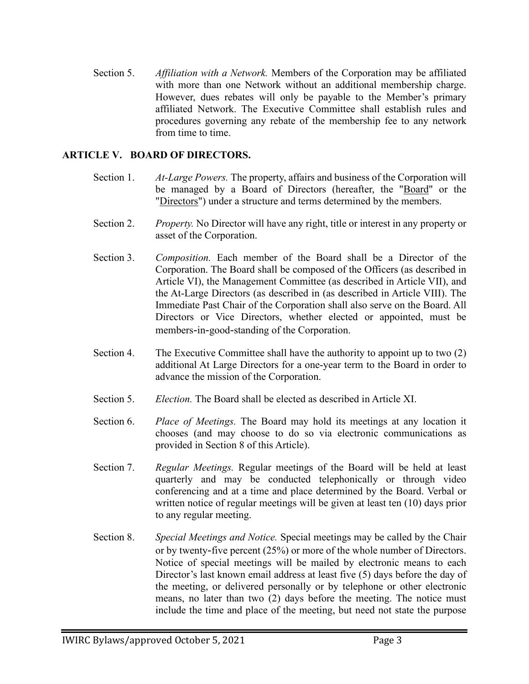Section 5. *Affiliation with a Network.* Members of the Corporation may be affiliated with more than one Network without an additional membership charge. However, dues rebates will only be payable to the Member's primary affiliated Network. The Executive Committee shall establish rules and procedures governing any rebate of the membership fee to any network from time to time.

## **ARTICLE V. BOARD OF DIRECTORS.**

- Section 1. *At-Large Powers.* The property, affairs and business of the Corporation will be managed by a Board of Directors (hereafter, the "Board" or the "Directors") under a structure and terms determined by the members.
- Section 2. *Property.* No Director will have any right, title or interest in any property or asset of the Corporation.
- Section 3. *Composition.* Each member of the Board shall be a Director of the Corporation. The Board shall be composed of the Officers (as described in Article VI), the Management Committee (as described in Article VII), and the At-Large Directors (as described in (as described in Article VIII). The Immediate Past Chair of the Corporation shall also serve on the Board. All Directors or Vice Directors, whether elected or appointed, must be members-in-good-standing of the Corporation.
- Section 4. The Executive Committee shall have the authority to appoint up to two (2) additional At Large Directors for a one-year term to the Board in order to advance the mission of the Corporation.
- Section 5. *Election.* The Board shall be elected as described in Article XI.
- Section 6. *Place of Meetings.* The Board may hold its meetings at any location it chooses (and may choose to do so via electronic communications as provided in Section 8 of this Article).
- Section 7. *Regular Meetings.* Regular meetings of the Board will be held at least quarterly and may be conducted telephonically or through video conferencing and at a time and place determined by the Board. Verbal or written notice of regular meetings will be given at least ten (10) days prior to any regular meeting.
- Section 8. *Special Meetings and Notice.* Special meetings may be called by the Chair or by twenty-five percent (25%) or more of the whole number of Directors. Notice of special meetings will be mailed by electronic means to each Director's last known email address at least five (5) days before the day of the meeting, or delivered personally or by telephone or other electronic means, no later than two (2) days before the meeting. The notice must include the time and place of the meeting, but need not state the purpose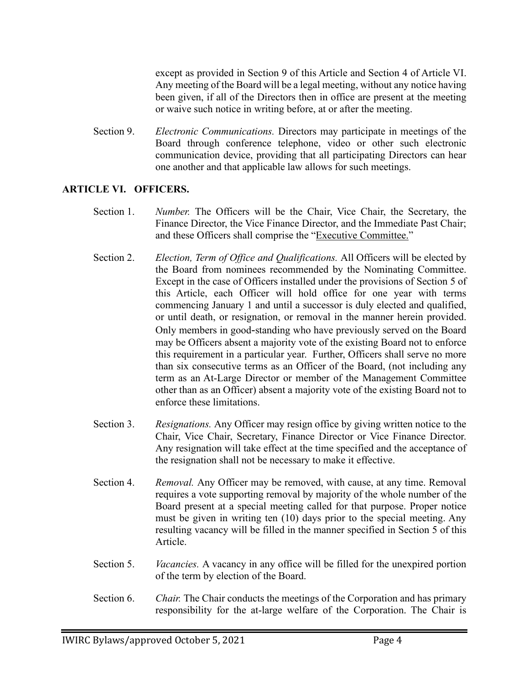except as provided in Section 9 of this Article and Section 4 of Article VI. Any meeting of the Board will be a legal meeting, without any notice having been given, if all of the Directors then in office are present at the meeting or waive such notice in writing before, at or after the meeting.

Section 9. *Electronic Communications.* Directors may participate in meetings of the Board through conference telephone, video or other such electronic communication device, providing that all participating Directors can hear one another and that applicable law allows for such meetings.

### **ARTICLE VI. OFFICERS.**

- Section 1. *Number.* The Officers will be the Chair, Vice Chair, the Secretary, the Finance Director, the Vice Finance Director, and the Immediate Past Chair; and these Officers shall comprise the "Executive Committee."
- Section 2. *Election, Term of Office and Qualifications.* All Officers will be elected by the Board from nominees recommended by the Nominating Committee. Except in the case of Officers installed under the provisions of Section 5 of this Article, each Officer will hold office for one year with terms commencing January 1 and until a successor is duly elected and qualified, or until death, or resignation, or removal in the manner herein provided. Only members in good-standing who have previously served on the Board may be Officers absent a majority vote of the existing Board not to enforce this requirement in a particular year. Further, Officers shall serve no more than six consecutive terms as an Officer of the Board, (not including any term as an At-Large Director or member of the Management Committee other than as an Officer) absent a majority vote of the existing Board not to enforce these limitations.
- Section 3. *Resignations.* Any Officer may resign office by giving written notice to the Chair, Vice Chair, Secretary, Finance Director or Vice Finance Director. Any resignation will take effect at the time specified and the acceptance of the resignation shall not be necessary to make it effective.
- Section 4. *Removal.* Any Officer may be removed, with cause, at any time. Removal requires a vote supporting removal by majority of the whole number of the Board present at a special meeting called for that purpose. Proper notice must be given in writing ten (10) days prior to the special meeting. Any resulting vacancy will be filled in the manner specified in Section 5 of this Article.
- Section 5. *Vacancies.* A vacancy in any office will be filled for the unexpired portion of the term by election of the Board.
- Section 6. *Chair.* The Chair conducts the meetings of the Corporation and has primary responsibility for the at-large welfare of the Corporation. The Chair is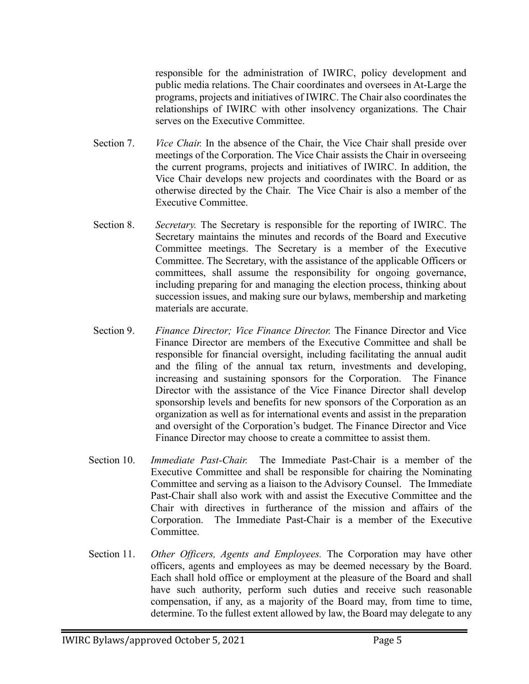responsible for the administration of IWIRC, policy development and public media relations. The Chair coordinates and oversees in At-Large the programs, projects and initiatives of IWIRC. The Chair also coordinates the relationships of IWIRC with other insolvency organizations. The Chair serves on the Executive Committee.

- Section 7. *Vice Chair.* In the absence of the Chair, the Vice Chair shall preside over meetings of the Corporation. The Vice Chair assists the Chair in overseeing the current programs, projects and initiatives of IWIRC. In addition, the Vice Chair develops new projects and coordinates with the Board or as otherwise directed by the Chair. The Vice Chair is also a member of the Executive Committee.
- Section 8. *Secretary.* The Secretary is responsible for the reporting of IWIRC. The Secretary maintains the minutes and records of the Board and Executive Committee meetings. The Secretary is a member of the Executive Committee. The Secretary, with the assistance of the applicable Officers or committees, shall assume the responsibility for ongoing governance, including preparing for and managing the election process, thinking about succession issues, and making sure our bylaws, membership and marketing materials are accurate.
- Section 9. *Finance Director; Vice Finance Director.* The Finance Director and Vice Finance Director are members of the Executive Committee and shall be responsible for financial oversight, including facilitating the annual audit and the filing of the annual tax return, investments and developing, increasing and sustaining sponsors for the Corporation. The Finance Director with the assistance of the Vice Finance Director shall develop sponsorship levels and benefits for new sponsors of the Corporation as an organization as well as for international events and assist in the preparation and oversight of the Corporation's budget. The Finance Director and Vice Finance Director may choose to create a committee to assist them.
- Section 10. *Immediate Past-Chair.* The Immediate Past-Chair is a member of the Executive Committee and shall be responsible for chairing the Nominating Committee and serving as a liaison to the Advisory Counsel. The Immediate Past-Chair shall also work with and assist the Executive Committee and the Chair with directives in furtherance of the mission and affairs of the Corporation. The Immediate Past-Chair is a member of the Executive Committee.
- Section 11. *Other Officers, Agents and Employees.* The Corporation may have other officers, agents and employees as may be deemed necessary by the Board. Each shall hold office or employment at the pleasure of the Board and shall have such authority, perform such duties and receive such reasonable compensation, if any, as a majority of the Board may, from time to time, determine. To the fullest extent allowed by law, the Board may delegate to any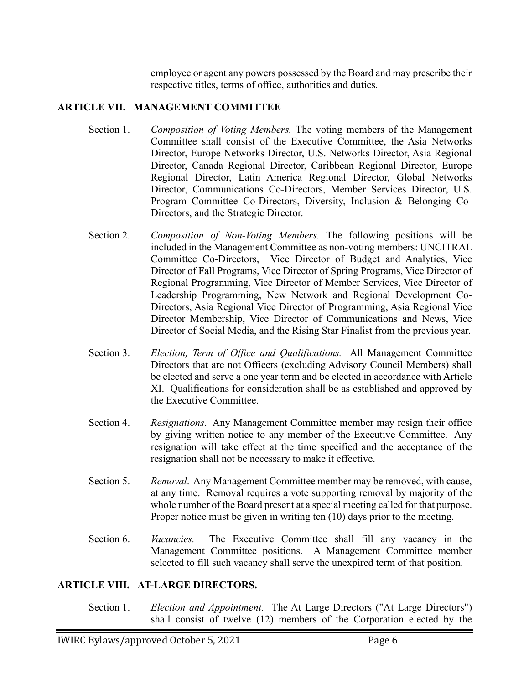employee or agent any powers possessed by the Board and may prescribe their respective titles, terms of office, authorities and duties.

## **ARTICLE VII. MANAGEMENT COMMITTEE**

- Section 1. *Composition of Voting Members.* The voting members of the Management Committee shall consist of the Executive Committee, the Asia Networks Director, Europe Networks Director, U.S. Networks Director, Asia Regional Director, Canada Regional Director, Caribbean Regional Director, Europe Regional Director, Latin America Regional Director, Global Networks Director, Communications Co-Directors, Member Services Director, U.S. Program Committee Co-Directors, Diversity, Inclusion & Belonging Co-Directors, and the Strategic Director.
- Section 2. *Composition of Non-Voting Members.* The following positions will be included in the Management Committee as non-voting members: UNCITRAL Committee Co-Directors, Vice Director of Budget and Analytics, Vice Director of Fall Programs, Vice Director of Spring Programs, Vice Director of Regional Programming, Vice Director of Member Services, Vice Director of Leadership Programming, New Network and Regional Development Co-Directors, Asia Regional Vice Director of Programming, Asia Regional Vice Director Membership, Vice Director of Communications and News, Vice Director of Social Media, and the Rising Star Finalist from the previous year.
- Section 3. *Election, Term of Office and Qualifications.* All Management Committee Directors that are not Officers (excluding Advisory Council Members) shall be elected and serve a one year term and be elected in accordance with Article XI. Qualifications for consideration shall be as established and approved by the Executive Committee.
- Section 4. *Resignations*. Any Management Committee member may resign their office by giving written notice to any member of the Executive Committee. Any resignation will take effect at the time specified and the acceptance of the resignation shall not be necessary to make it effective.
- Section 5. *Removal*. Any Management Committee member may be removed, with cause, at any time. Removal requires a vote supporting removal by majority of the whole number of the Board present at a special meeting called for that purpose. Proper notice must be given in writing ten (10) days prior to the meeting.
- Section 6. *Vacancies.* The Executive Committee shall fill any vacancy in the Management Committee positions. A Management Committee member selected to fill such vacancy shall serve the unexpired term of that position.

### **ARTICLE VIII. AT-LARGE DIRECTORS.**

Section 1. *Election and Appointment*. The At Large Directors ("At Large Directors") shall consist of twelve (12) members of the Corporation elected by the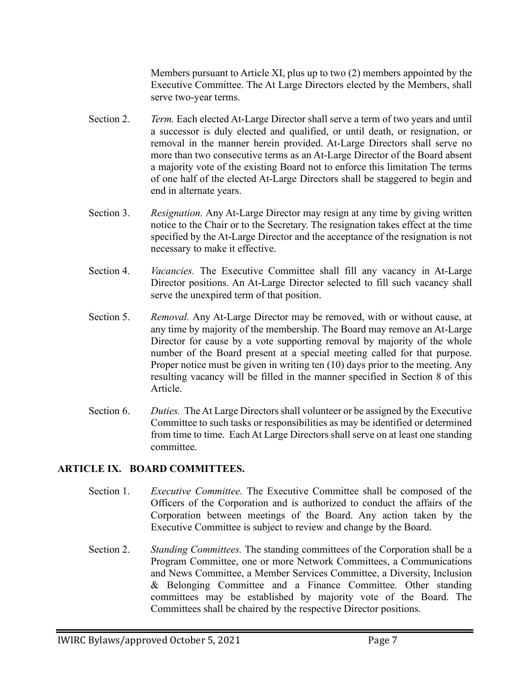Members pursuant to Article XI, plus up to two (2) members appointed by the Executive Committee. The At Large Directors elected by the Members, shall serve two-year terms.

- Section 2. *Term.* Each elected At-Large Director shall serve a term of two years and until a successor is duly elected and qualified, or until death, or resignation, or removal in the manner herein provided. At-Large Directors shall serve no more than two consecutive terms as an At-Large Director of the Board absent a majority vote of the existing Board not to enforce this limitation The terms of one half of the elected At-Large Directors shall be staggered to begin and end in alternate years.
- Section 3. *Resignation.* Any At-Large Director may resign at any time by giving written notice to the Chair or to the Secretary. The resignation takes effect at the time specified by the At-Large Director and the acceptance of the resignation is not necessary to make it effective.
- Section 4. *Vacancies.* The Executive Committee shall fill any vacancy in At-Large Director positions. An At-Large Director selected to fill such vacancy shall serve the unexpired term of that position.
- Section 5. *Removal.* Any At-Large Director may be removed, with or without cause, at any time by majority of the membership. The Board may remove an At-Large Director for cause by a vote supporting removal by majority of the whole number of the Board present at a special meeting called for that purpose. Proper notice must be given in writing ten (10) days prior to the meeting. Any resulting vacancy will be filled in the manner specified in Section 8 of this Article.
- Section 6. *Duties.* The At Large Directors shall volunteer or be assigned by the Executive Committee to such tasks or responsibilities as may be identified or determined from time to time. Each At Large Directors shall serve on at least one standing committee.

# **ARTICLE IX. BOARD COMMITTEES.**

- Section 1. *Executive Committee.* The Executive Committee shall be composed of the Officers of the Corporation and is authorized to conduct the affairs of the Corporation between meetings of the Board. Any action taken by the Executive Committee is subject to review and change by the Board.
- Section 2. *Standing Committees.* The standing committees of the Corporation shall be a Program Committee, one or more Network Committees, a Communications and News Committee, a Member Services Committee, a Diversity, Inclusion & Belonging Committee and a Finance Committee. Other standing committees may be established by majority vote of the Board. The Committees shall be chaired by the respective Director positions.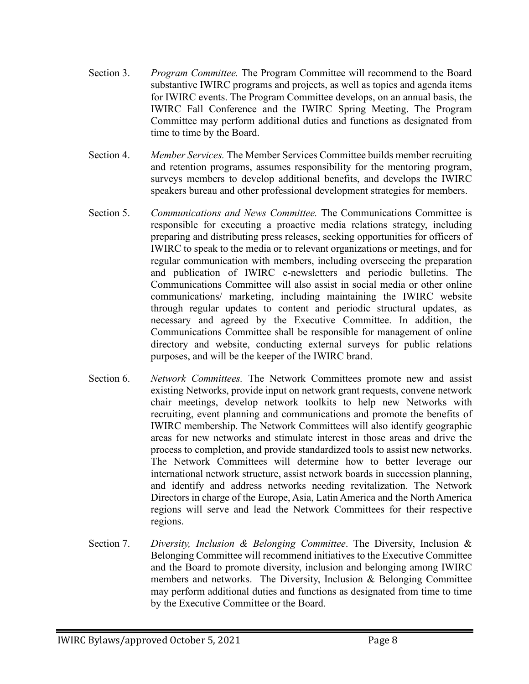- Section 3. *Program Committee.* The Program Committee will recommend to the Board substantive IWIRC programs and projects, as well as topics and agenda items for IWIRC events. The Program Committee develops, on an annual basis, the IWIRC Fall Conference and the IWIRC Spring Meeting. The Program Committee may perform additional duties and functions as designated from time to time by the Board.
- Section 4. *Member Services.* The Member Services Committee builds member recruiting and retention programs, assumes responsibility for the mentoring program, surveys members to develop additional benefits, and develops the IWIRC speakers bureau and other professional development strategies for members.
- Section 5. *Communications and News Committee.* The Communications Committee is responsible for executing a proactive media relations strategy, including preparing and distributing press releases, seeking opportunities for officers of IWIRC to speak to the media or to relevant organizations or meetings, and for regular communication with members, including overseeing the preparation and publication of IWIRC e-newsletters and periodic bulletins. The Communications Committee will also assist in social media or other online communications/ marketing, including maintaining the IWIRC website through regular updates to content and periodic structural updates, as necessary and agreed by the Executive Committee. In addition, the Communications Committee shall be responsible for management of online directory and website, conducting external surveys for public relations purposes, and will be the keeper of the IWIRC brand.
- Section 6. *Network Committees.* The Network Committees promote new and assist existing Networks, provide input on network grant requests, convene network chair meetings, develop network toolkits to help new Networks with recruiting, event planning and communications and promote the benefits of IWIRC membership. The Network Committees will also identify geographic areas for new networks and stimulate interest in those areas and drive the process to completion, and provide standardized tools to assist new networks. The Network Committees will determine how to better leverage our international network structure, assist network boards in succession planning, and identify and address networks needing revitalization. The Network Directors in charge of the Europe, Asia, Latin America and the North America regions will serve and lead the Network Committees for their respective regions.
- Section 7. *Diversity, Inclusion & Belonging Committee*. The Diversity, Inclusion & Belonging Committee will recommend initiatives to the Executive Committee and the Board to promote diversity, inclusion and belonging among IWIRC members and networks. The Diversity, Inclusion & Belonging Committee may perform additional duties and functions as designated from time to time by the Executive Committee or the Board.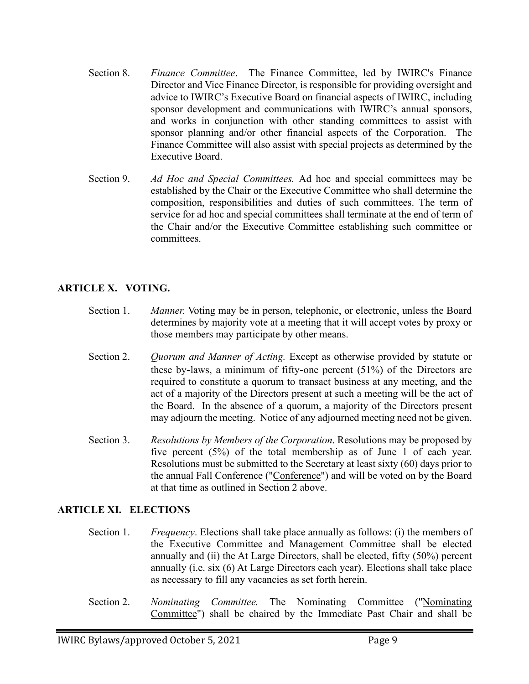- Section 8. *Finance Committee*. The Finance Committee, led by IWIRC's Finance Director and Vice Finance Director, is responsible for providing oversight and advice to IWIRC's Executive Board on financial aspects of IWIRC, including sponsor development and communications with IWIRC's annual sponsors, and works in conjunction with other standing committees to assist with sponsor planning and/or other financial aspects of the Corporation. The Finance Committee will also assist with special projects as determined by the Executive Board.
- Section 9. *Ad Hoc and Special Committees.* Ad hoc and special committees may be established by the Chair or the Executive Committee who shall determine the composition, responsibilities and duties of such committees. The term of service for ad hoc and special committees shall terminate at the end of term of the Chair and/or the Executive Committee establishing such committee or committees.

# **ARTICLE X. VOTING.**

- Section 1. *Manner*. Voting may be in person, telephonic, or electronic, unless the Board determines by majority vote at a meeting that it will accept votes by proxy or those members may participate by other means.
- Section 2. *Quorum and Manner of Acting.* Except as otherwise provided by statute or these by-laws, a minimum of fifty-one percent (51%) of the Directors are required to constitute a quorum to transact business at any meeting, and the act of a majority of the Directors present at such a meeting will be the act of the Board. In the absence of a quorum, a majority of the Directors present may adjourn the meeting. Notice of any adjourned meeting need not be given.
- Section 3. *Resolutions by Members of the Corporation*. Resolutions may be proposed by five percent (5%) of the total membership as of June 1 of each year. Resolutions must be submitted to the Secretary at least sixty (60) days prior to the annual Fall Conference ("Conference") and will be voted on by the Board at that time as outlined in Section 2 above.

### **ARTICLE XI. ELECTIONS**

- Section 1. *Frequency*. Elections shall take place annually as follows: (i) the members of the Executive Committee and Management Committee shall be elected annually and (ii) the At Large Directors, shall be elected, fifty (50%) percent annually (i.e. six (6) At Large Directors each year). Elections shall take place as necessary to fill any vacancies as set forth herein.
- Section 2. *Nominating Committee.* The Nominating Committee ("Nominating Committee") shall be chaired by the Immediate Past Chair and shall be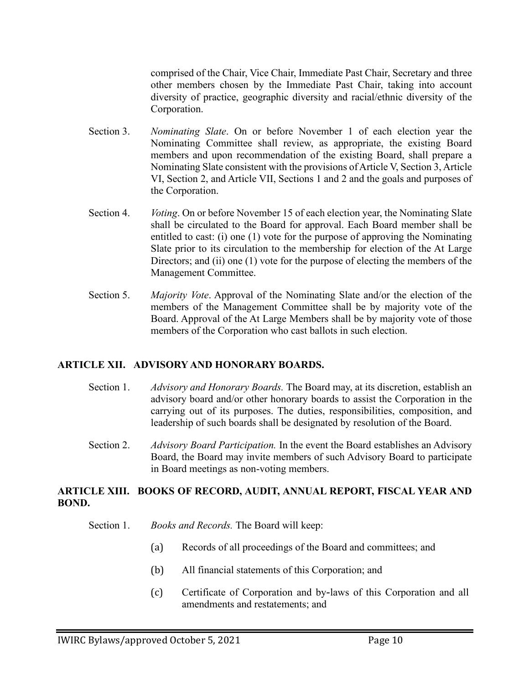comprised of the Chair, Vice Chair, Immediate Past Chair, Secretary and three other members chosen by the Immediate Past Chair, taking into account diversity of practice, geographic diversity and racial/ethnic diversity of the Corporation.

- Section 3. *Nominating Slate*. On or before November 1 of each election year the Nominating Committee shall review, as appropriate, the existing Board members and upon recommendation of the existing Board, shall prepare a Nominating Slate consistent with the provisions of Article V, Section 3, Article VI, Section 2, and Article VII, Sections 1 and 2 and the goals and purposes of the Corporation.
- Section 4. *Voting*. On or before November 15 of each election year, the Nominating Slate shall be circulated to the Board for approval. Each Board member shall be entitled to cast: (i) one (1) vote for the purpose of approving the Nominating Slate prior to its circulation to the membership for election of the At Large Directors; and (ii) one (1) vote for the purpose of electing the members of the Management Committee.
- Section 5. *Majority Vote*. Approval of the Nominating Slate and/or the election of the members of the Management Committee shall be by majority vote of the Board. Approval of the At Large Members shall be by majority vote of those members of the Corporation who cast ballots in such election.

### **ARTICLE XII. ADVISORY AND HONORARY BOARDS.**

- Section 1. *Advisory and Honorary Boards.* The Board may, at its discretion, establish an advisory board and/or other honorary boards to assist the Corporation in the carrying out of its purposes. The duties, responsibilities, composition, and leadership of such boards shall be designated by resolution of the Board.
- Section 2. *Advisory Board Participation.* In the event the Board establishes an Advisory Board, the Board may invite members of such Advisory Board to participate in Board meetings as non-voting members.

### **ARTICLE XIII. BOOKS OF RECORD, AUDIT, ANNUAL REPORT, FISCAL YEAR AND BOND.**

- Section 1. *Books and Records.* The Board will keep:
	- (a) Records of all proceedings of the Board and committees; and
	- (b) All financial statements of this Corporation; and
	- (c) Certificate of Corporation and by-laws of this Corporation and all amendments and restatements; and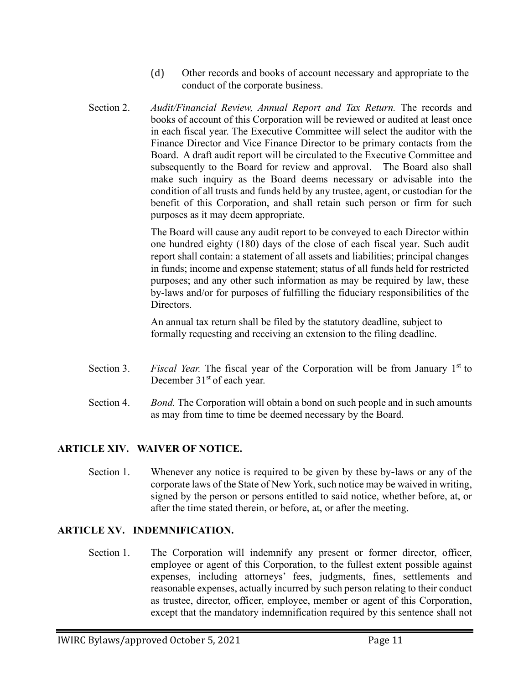- (d) Other records and books of account necessary and appropriate to the conduct of the corporate business.
- Section 2. *Audit/Financial Review, Annual Report and Tax Return.* The records and books of account of this Corporation will be reviewed or audited at least once in each fiscal year. The Executive Committee will select the auditor with the Finance Director and Vice Finance Director to be primary contacts from the Board. A draft audit report will be circulated to the Executive Committee and subsequently to the Board for review and approval. The Board also shall make such inquiry as the Board deems necessary or advisable into the condition of all trusts and funds held by any trustee, agent, or custodian for the benefit of this Corporation, and shall retain such person or firm for such purposes as it may deem appropriate.

The Board will cause any audit report to be conveyed to each Director within one hundred eighty (180) days of the close of each fiscal year. Such audit report shall contain: a statement of all assets and liabilities; principal changes in funds; income and expense statement; status of all funds held for restricted purposes; and any other such information as may be required by law, these by-laws and/or for purposes of fulfilling the fiduciary responsibilities of the Directors.

An annual tax return shall be filed by the statutory deadline, subject to formally requesting and receiving an extension to the filing deadline.

- Section 3. *Fiscal Year.* The fiscal year of the Corporation will be from January 1<sup>st</sup> to December 31<sup>st</sup> of each year.
- Section 4. *Bond.* The Corporation will obtain a bond on such people and in such amounts as may from time to time be deemed necessary by the Board.

# **ARTICLE XIV. WAIVER OF NOTICE.**

Section 1. Whenever any notice is required to be given by these by-laws or any of the corporate laws of the State of New York, such notice may be waived in writing, signed by the person or persons entitled to said notice, whether before, at, or after the time stated therein, or before, at, or after the meeting.

# **ARTICLE XV. INDEMNIFICATION.**

Section 1. The Corporation will indemnify any present or former director, officer, employee or agent of this Corporation, to the fullest extent possible against expenses, including attorneys' fees, judgments, fines, settlements and reasonable expenses, actually incurred by such person relating to their conduct as trustee, director, officer, employee, member or agent of this Corporation, except that the mandatory indemnification required by this sentence shall not